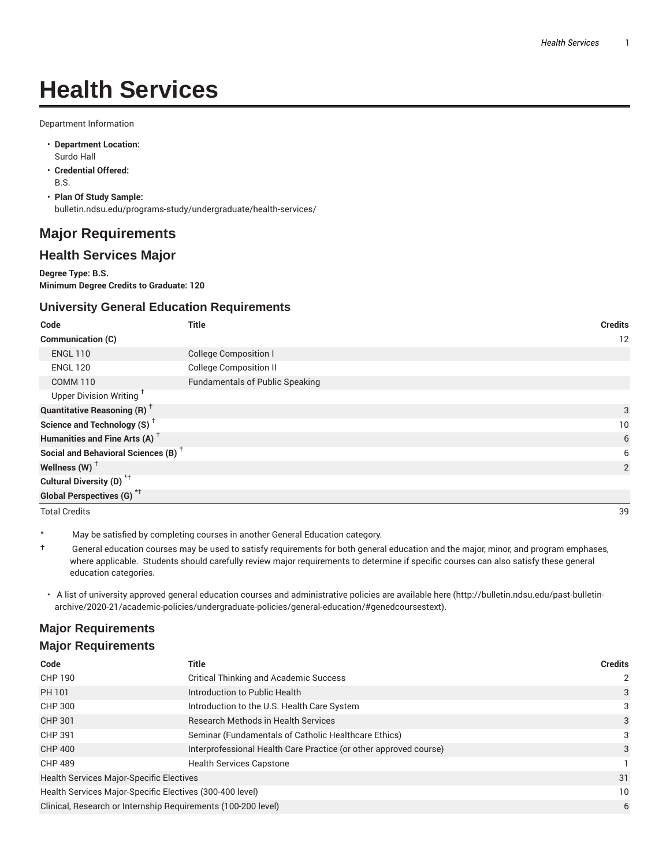# **Health Services**

Department Information

- **Department Location:** Surdo Hall
- **Credential Offered:** B.S.
- **Plan Of Study Sample:** bulletin.ndsu.edu/programs-study/undergraduate/health-services/

## **Major Requirements**

### **Health Services Major**

**Degree Type: B.S. Minimum Degree Credits to Graduate: 120**

#### **University General Education Requirements**

| Code                                                 | Title                                  | <b>Credits</b> |
|------------------------------------------------------|----------------------------------------|----------------|
| <b>Communication (C)</b>                             |                                        | 12             |
| <b>ENGL 110</b>                                      | <b>College Composition I</b>           |                |
| <b>ENGL 120</b>                                      | <b>College Composition II</b>          |                |
| <b>COMM 110</b>                                      | <b>Fundamentals of Public Speaking</b> |                |
| Upper Division Writing <sup>+</sup>                  |                                        |                |
| <b>Quantitative Reasoning (R)</b> <sup>†</sup>       |                                        | 3              |
| Science and Technology (S) <sup><math>†</math></sup> |                                        | 10             |
| Humanities and Fine Arts (A) <sup>+</sup>            |                                        | 6              |
| Social and Behavioral Sciences (B) <sup>+</sup>      |                                        | 6              |
| Wellness (W) $^{\dagger}$                            |                                        | 2              |
| Cultural Diversity (D) <sup>*†</sup>                 |                                        |                |
| Global Perspectives (G) <sup>*†</sup>                |                                        |                |
| <b>Total Credits</b>                                 |                                        | 39             |

May be satisfied by completing courses in another General Education category.

- † General education courses may be used to satisfy requirements for both general education and the major, minor, and program emphases, where applicable. Students should carefully review major requirements to determine if specific courses can also satisfy these general education categories.
- A list of university approved general education courses and administrative policies are available here (http://bulletin.ndsu.edu/past-bulletinarchive/2020-21/academic-policies/undergraduate-policies/general-education/#genedcoursestext).

## **Major Requirements Major Requirements**

| Code                                                          | Title                                                             | <b>Credits</b> |
|---------------------------------------------------------------|-------------------------------------------------------------------|----------------|
| <b>CHP 190</b>                                                | <b>Critical Thinking and Academic Success</b>                     | $\mathcal{P}$  |
| PH 101                                                        | Introduction to Public Health                                     | 3              |
| CHP 300                                                       | Introduction to the U.S. Health Care System                       | 3              |
| <b>CHP 301</b>                                                | <b>Research Methods in Health Services</b>                        | 3              |
| CHP 391                                                       | Seminar (Fundamentals of Catholic Healthcare Ethics)              | 3              |
| <b>CHP 400</b>                                                | Interprofessional Health Care Practice (or other approved course) | 3              |
| <b>CHP 489</b>                                                | <b>Health Services Capstone</b>                                   |                |
| <b>Health Services Major-Specific Electives</b>               |                                                                   | 31             |
| Health Services Major-Specific Electives (300-400 level)      |                                                                   | 10             |
| Clinical, Research or Internship Requirements (100-200 level) |                                                                   |                |